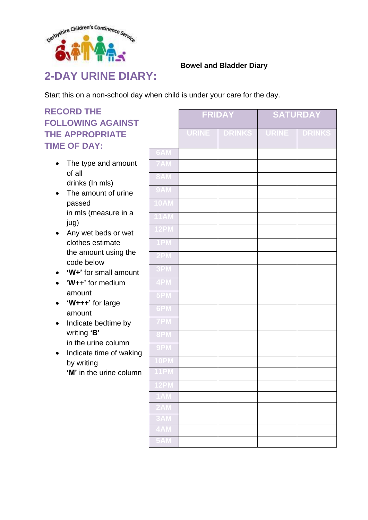

#### **Bowel and Bladder Diary**

# Start this on a non-school day when child is under your care for the day.

**RECORD THE FOLLOWING AGAINST THE APPROPRIATE TIME OF DAY:**

- The type and amount of all drinks (In mls)
- The amount of urine passed in mls (measure in a jug)
- Any wet beds or wet clothes estimate the amount using the code below
- **'W+'** for small amount
- '**W++'** for medium amount
- **'W+++'** for large amount
- Indicate bedtime by writing **'B'** in the urine column
- $\bullet$  Indicate time of waking by writing **'M'** in the urine column

|                            | <b>FRIDAY</b> |               | <b>SATURDAY</b> |               |
|----------------------------|---------------|---------------|-----------------|---------------|
|                            | <b>URINE</b>  | <b>DRINKS</b> | <b>URINE</b>    | <b>DRINKS</b> |
| 6AM                        |               |               |                 |               |
| 7AM                        |               |               |                 |               |
| <b>BAM</b>                 |               |               |                 |               |
| 9AM                        |               |               |                 |               |
| <b>OAM</b>                 |               |               |                 |               |
| 1AM                        |               |               |                 |               |
| $\overline{2PM}$           |               |               |                 |               |
| 1PM                        |               |               |                 |               |
| 2PM                        |               |               |                 |               |
| 3PM                        |               |               |                 |               |
| 4PM                        |               |               |                 |               |
| 5PM                        |               |               |                 |               |
| 6PM                        |               |               |                 |               |
| 7PM                        |               |               |                 |               |
| $8$ PM                     |               |               |                 |               |
| $9$ PM                     |               |               |                 |               |
| <b>OPM</b>                 |               |               |                 |               |
| 1PM                        |               |               |                 |               |
| <b>2PM</b>                 |               |               |                 |               |
| 1AM                        |               |               |                 |               |
| 2AM                        |               |               |                 |               |
| 3AM                        |               |               |                 |               |
| 4AM                        |               |               |                 |               |
| $\overline{\mathbf{5}}$ AM |               |               |                 |               |